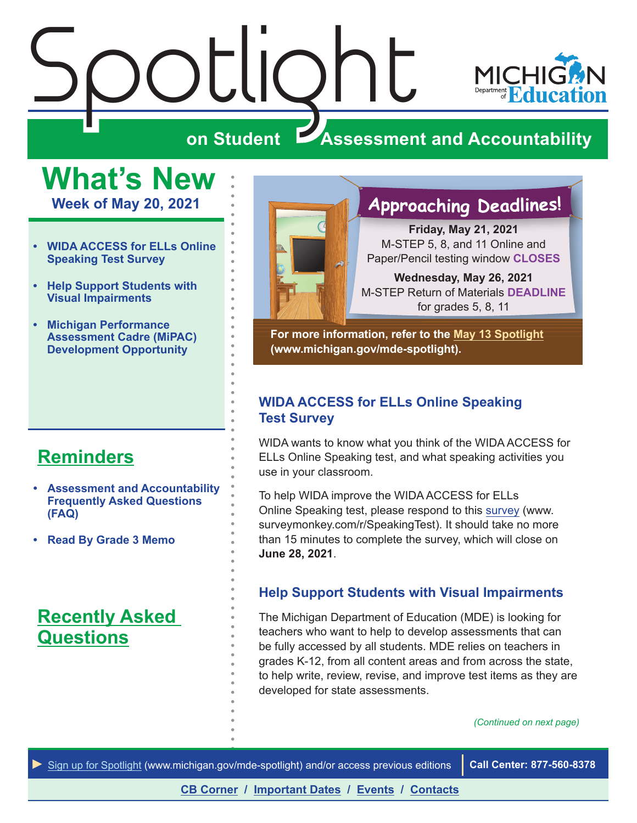# <span id="page-0-0"></span> $\frac{\sum_{\text{S}}\left|\bigcup_{\text{S}}\right|}{\sum_{\text{S}}\left|\bigcup_{\text{S}}\right|}$



### **ZAssessment and Accountability**

**What's New**

**Week of May 20, 2021**

- **• WIDA ACCESS for ELLs Online Speaking Test Survey**
- **• Help Support Students with Visual Impairments**
- **• [Michigan Performance](#page-1-0)  [Assessment Cadre \(MiPAC\)](#page-1-0)  [Development Opportunity](#page-1-0)**

### **[Reminders](#page-2-0)**

- **• [Assessment and Accountability](#page-2-1)  [Frequently Asked Questions](#page-2-1)  [\(FAQ\)](#page-2-1)**
- **• [Read By Grade 3 Memo](#page-2-1)**

### **[Recently Asked](#page-5-0)  [Questions](#page-5-0)**



### **Approaching Deadlines!**

**Friday, May 21, 2021** M-STEP 5, 8, and 11 Online and Paper/Pencil testing window **CLOSES**

**Wednesday, May 26, 2021** M-STEP Return of Materials **DEADLINE** for grades 5, 8, 11

**For more information, refer to the [May 13 Spotlight](https://www.michigan.gov/documents/mde/Spotlight_5-13-21_725244_7.pdf) (www.michigan.gov/mde-spotlight).**

### **WIDA ACCESS for ELLs Online Speaking Test Survey**

WIDA wants to know what you think of the WIDA ACCESS for ELLs Online Speaking test, and what speaking activities you use in your classroom.

To help WIDA improve the WIDA ACCESS for ELLs Online Speaking test, please respond to this [survey](https://www.surveymonkey.com/r/SpeakingTest) (www. surveymonkey.com/r/SpeakingTest). It should take no more than 15 minutes to complete the survey, which will close on **June 28, 2021**.

### **Help Support Students with Visual Impairments**

The Michigan Department of Education (MDE) is looking for teachers who want to help to develop assessments that can be fully accessed by all students. MDE relies on teachers in grades K-12, from all content areas and from across the state, to help write, review, revise, and improve test items as they are developed for state assessments.

*(Continued on next page)*

*►* [Sign up for Spotlight](https://public.govdelivery.com/accounts/MIMDE/subscriber/new) [\(www.michigan.gov/mde](www.michigan.gov/mde-spotlight)-spotlight) and/or access previous editions **Call Center: 877-560-8378**

**[CB Corner](#page-3-0) / [Important Dates](#page-7-0) / [Events](#page-8-0) / [Contacts](#page-9-0)**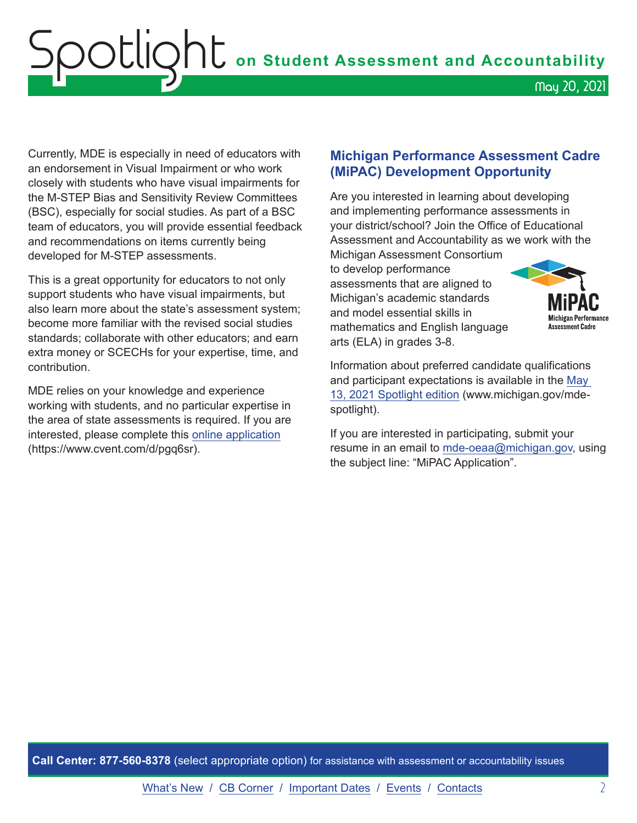### <span id="page-1-0"></span>Spotlight **on Student Assessment and Accountability** May 20, 2021

Currently, MDE is especially in need of educators with an endorsement in Visual Impairment or who work closely with students who have visual impairments for the M-STEP Bias and Sensitivity Review Committees (BSC), especially for social studies. As part of a BSC team of educators, you will provide essential feedback and recommendations on items currently being developed for M-STEP assessments.

This is a great opportunity for educators to not only support students who have visual impairments, but also learn more about the state's assessment system; become more familiar with the revised social studies standards; collaborate with other educators; and earn extra money or SCECHs for your expertise, time, and contribution.

MDE relies on your knowledge and experience working with students, and no particular expertise in the area of state assessments is required. If you are interested, please complete this [online application](https://www.cvent.com/d/pgq6sr) (https://www.cvent.com/d/pgq6sr).

### **Michigan Performance Assessment Cadre (MiPAC) Development Opportunity**

Are you interested in learning about developing and implementing performance assessments in your district/school? Join the Office of Educational Assessment and Accountability as we work with the

Michigan Assessment Consortium to develop performance assessments that are aligned to Michigan's academic standards and model essential skills in mathematics and English language arts (ELA) in grades 3-8.



Information about preferred candidate qualifications and participant expectations is available in the [May](https://www.michigan.gov/documents/mde/Spotlight_5-13-21_725244_7.pdf)  [13, 2021 Spotlight](https://www.michigan.gov/documents/mde/Spotlight_5-13-21_725244_7.pdf) edition (www.michigan.gov/mdespotlight).

If you are interested in participating, submit your resume in an email to [mde-oeaa@michigan.gov](mailto:mde-oeaa%40michigan.gov?subject=MiPAC%20Application), using the subject line: "MiPAC Application".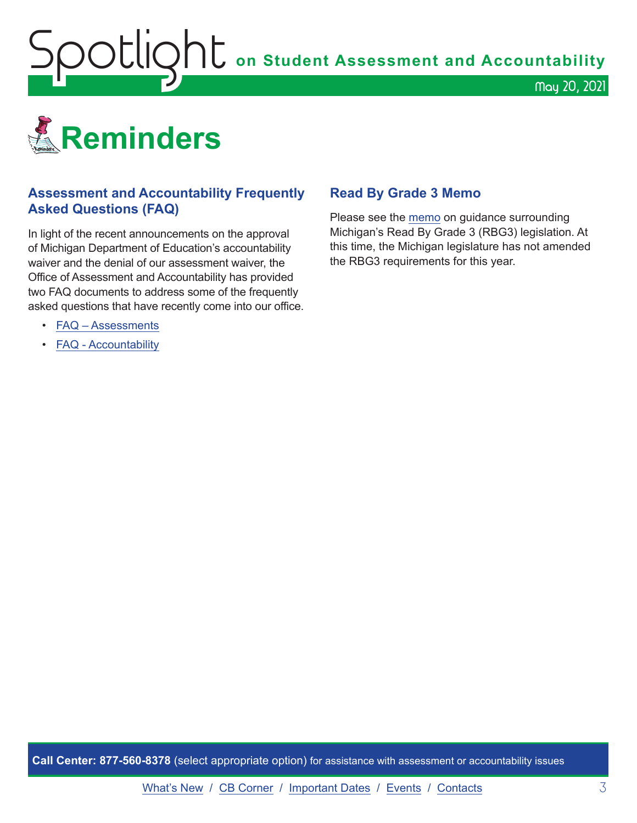<span id="page-2-1"></span>Spotlight **on Student Assessment and Accountability**

<span id="page-2-0"></span>

### **Assessment and Accountability Frequently Asked Questions (FAQ)**

In light of the recent announcements on the approval of Michigan Department of Education's accountability waiver and the denial of our assessment waiver, the Office of Assessment and Accountability has provided two FAQ documents to address some of the frequently asked questions that have recently come into our office.

- [FAQ Assessments](https://www.michigan.gov/documents/mde/Spring_2021_Summative_Assessments_FAQ_721789_7.pdf)
- [FAQ Accountability](https://www.michigan.gov/documents/mde/Michigan_School_Accountability_Planning_and_Response_to_COVID-19_701197_7.pdf)

### **Read By Grade 3 Memo**

Please see the [memo](https://www.michigan.gov/documents/mde/RBG3_Communicating_Parents_722309_7.pdf) on guidance surrounding Michigan's Read By Grade 3 (RBG3) legislation. At this time, the Michigan legislature has not amended the RBG3 requirements for this year.

May 20, 2021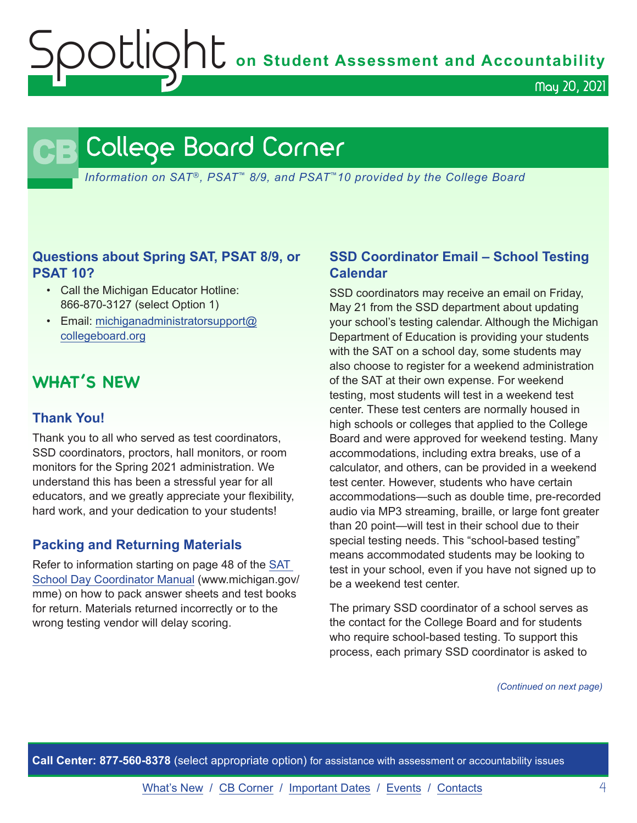OOCIQht on Student Assessment and Accountability

May 20, 2021

### <span id="page-3-0"></span>**CB** College Board Corner

*Information on SAT*®*, PSAT*™ *8/9, and PSAT*™*10 provided by the College Board*

### **Questions about Spring SAT, PSAT 8/9, or PSAT 10?**

- Call the Michigan Educator Hotline: 866-870-3127 (select Option 1)
- Email: [michiganadministratorsupport@](mailto:michiganadministratorsupport%40collegeboard.org?subject=) [collegeboard.org](mailto:michiganadministratorsupport%40collegeboard.org?subject=)

### **WHAT'S NEW**

### **Thank You!**

Thank you to all who served as test coordinators, SSD coordinators, proctors, hall monitors, or room monitors for the Spring 2021 administration. We understand this has been a stressful year for all educators, and we greatly appreciate your flexibility, hard work, and your dedication to your students!

### **Packing and Returning Materials**

Refer to information starting on page 48 of the [SAT](https://www.michigan.gov/documents/mde/MI_SAT_Coordinator_Manual_678521_7.pdf)  [School Day Coordinator Manual](https://www.michigan.gov/documents/mde/MI_SAT_Coordinator_Manual_678521_7.pdf) (www.michigan.gov/ mme) on how to pack answer sheets and test books for return. Materials returned incorrectly or to the wrong testing vendor will delay scoring.

### **SSD Coordinator Email – School Testing Calendar**

SSD coordinators may receive an email on Friday, May 21 from the SSD department about updating your school's testing calendar. Although the Michigan Department of Education is providing your students with the SAT on a school day, some students may also choose to register for a weekend administration of the SAT at their own expense. For weekend testing, most students will test in a weekend test center. These test centers are normally housed in high schools or colleges that applied to the College Board and were approved for weekend testing. Many accommodations, including extra breaks, use of a calculator, and others, can be provided in a weekend test center. However, students who have certain accommodations—such as double time, pre-recorded audio via MP3 streaming, braille, or large font greater than 20 point—will test in their school due to their special testing needs. This "school-based testing" means accommodated students may be looking to test in your school, even if you have not signed up to be a weekend test center.

The primary SSD coordinator of a school serves as the contact for the College Board and for students who require school-based testing. To support this process, each primary SSD coordinator is asked to

*(Continued on next page)*

**Call Center: 877-560-8378** (select appropriate option) for assistance with assessment or accountability issues

[What's New](#page-0-0) / [CB Corner](#page-3-0) / [Important Dates](#page-7-0) / [Events](#page-8-0) / [Contacts](#page-9-0) 4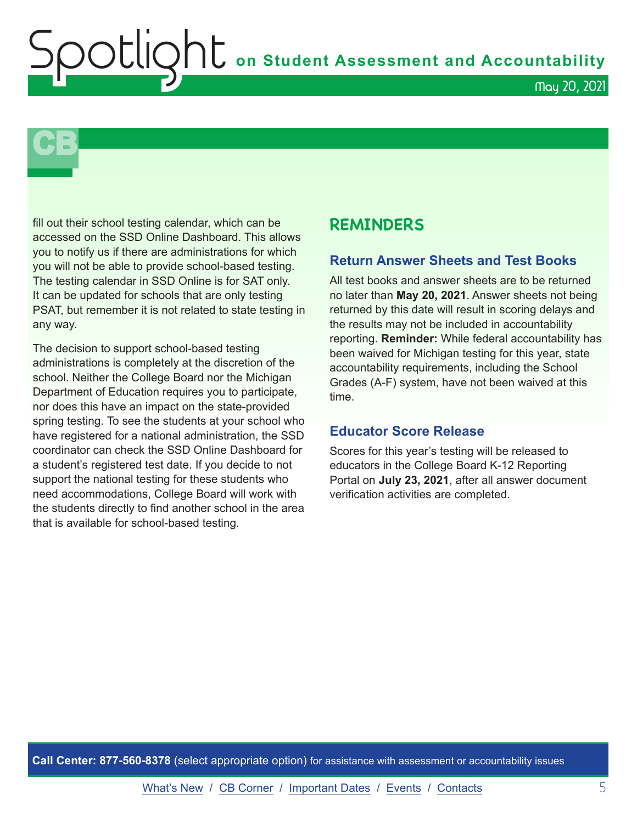**Shumer Assessment and Accountability** 

## **CB**

fill out their school testing calendar, which can be accessed on the SSD Online Dashboard. This allows you to notify us if there are administrations for which you will not be able to provide school-based testing. The testing calendar in SSD Online is for SAT only. It can be updated for schools that are only testing PSAT, but remember it is not related to state testing in any way.

The decision to support school-based testing administrations is completely at the discretion of the school. Neither the College Board nor the Michigan Department of Education requires you to participate, nor does this have an impact on the state-provided spring testing. To see the students at your school who have registered for a national administration, the SSD coordinator can check the SSD Online Dashboard for a student's registered test date. If you decide to not support the national testing for these students who need accommodations, College Board will work with the students directly to find another school in the area that is available for school-based testing.

### **REMINDERS**

### **Return Answer Sheets and Test Books**

All test books and answer sheets are to be returned no later than **May 20, 2021**. Answer sheets not being returned by this date will result in scoring delays and the results may not be included in accountability reporting. **Reminder:** While federal accountability has been waived for Michigan testing for this year, state accountability requirements, including the School Grades (A-F) system, have not been waived at this time.

### **Educator Score Release**

Scores for this year's testing will be released to educators in the College Board K-12 Reporting Portal on **July 23, 2021**, after all answer document verification activities are completed.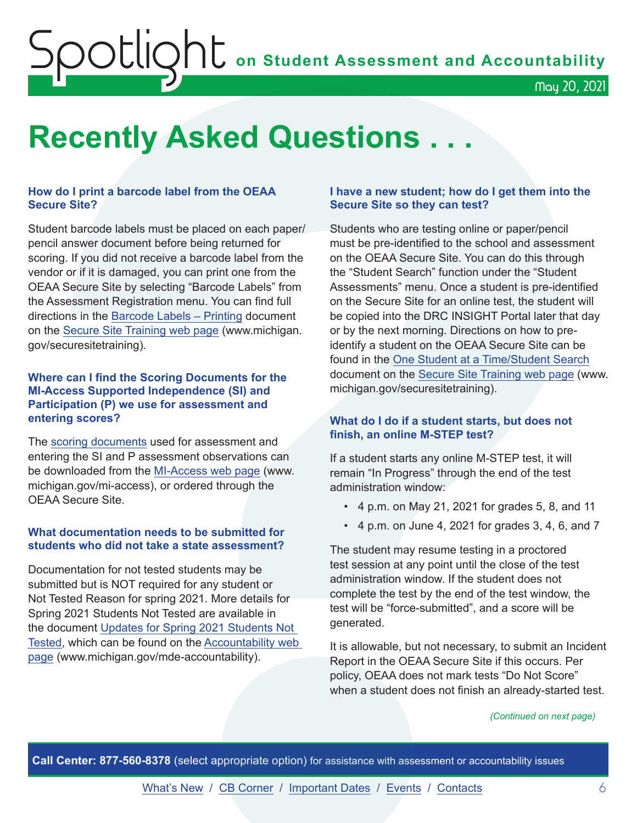### **Soutlight** on Student Assessment and Accountability May 20, 2021

### <span id="page-5-0"></span>**Recently Asked Questions . . .**

### **How do I print a barcode label from the OEAA Secure Site?**

Student barcode labels must be placed on each paper/ pencil answer document before being returned for scoring. If you did not receive a barcode label from the vendor or if it is damaged, you can print one from the OEAA Secure Site by selecting "Barcode Labels" from the Assessment Registration menu. You can find full directions in the [Barcode Labels](https://www.michigan.gov/documents/mde/barcode_label_directions_651408_7.pdf) – Printing document on the [Secure Site Training web page](http://www.michigan.gov/securesitetraining) (www.michigan. gov/securesitetraining).

#### **Where can I find the Scoring Documents for the MI-Access Supported Independence (SI) and Participation (P) we use for assessment and entering scores?**

The [scoring documents](https://www.michigan.gov/mde/0,4615,7-140-22709_28463-373595--,00.html) used for assessment and entering the SI and P assessment observations can be downloaded from the [MI-Access web page](http://www.michigan.gov/mi-access) (www. michigan.gov/mi-access), or ordered through the OEAA Secure Site.

### **What documentation needs to be submitted for students who did not take a state assessment?**

Documentation for not tested students may be submitted but is NOT required for any student or Not Tested Reason for spring 2021. More details for Spring 2021 Students Not Tested are available in the document [Updates for Spring 2021 Students Not](https://www.michigan.gov/documents/mde/Updates_for_Spring_2021_Students_Not_Tested_724270_7.pdf)  [Tested](https://www.michigan.gov/documents/mde/Updates_for_Spring_2021_Students_Not_Tested_724270_7.pdf), which can be found on the [Accountability web](http://www.michigan.gov/mde-accountability)  [page](http://www.michigan.gov/mde-accountability) (www.michigan.gov/mde-accountability).

#### **I have a new student; how do I get them into the Secure Site so they can test?**

Students who are testing online or paper/pencil must be pre-identified to the school and assessment on the OEAA Secure Site. You can do this through the "Student Search" function under the "Student Assessments" menu. Once a student is pre-identified on the Secure Site for an online test, the student will be copied into the DRC INSIGHT Portal later that day or by the next morning. Directions on how to preidentify a student on the OEAA Secure Site can be found in the [One Student at a Time/Student Search](https://www.michigan.gov/documents/mde/Student_Search_One_Student_at_a_Time_579416_7.pdf) document on the [Secure Site Training web page](http://www.michigan.gov/securesitetraining) (www. michigan.gov/securesitetraining).

### **What do I do if a student starts, but does not finish, an online M-STEP test?**

If a student starts any online M-STEP test, it will remain "In Progress" through the end of the test administration window:

- 4 p.m. on May 21, 2021 for grades 5, 8, and 11
- 4 p.m. on June 4, 2021 for grades 3, 4, 6, and 7

The student may resume testing in a proctored test session at any point until the close of the test administration window. If the student does not complete the test by the end of the test window, the test will be "force-submitted", and a score will be generated.

It is allowable, but not necessary, to submit an Incident Report in the OEAA Secure Site if this occurs. Per policy, OEAA does not mark tests "Do Not Score" when a student does not finish an already-started test.

#### *(Continued on next page)*

**Call Center: 877-560-8378** (select appropriate option) for assistance with assessment or accountability issues

[What's New](#page-0-0) / [CB Corner](#page-3-0) / [Important Dates](#page-7-0) / [Events](#page-8-0) / [Contacts](#page-9-0) 6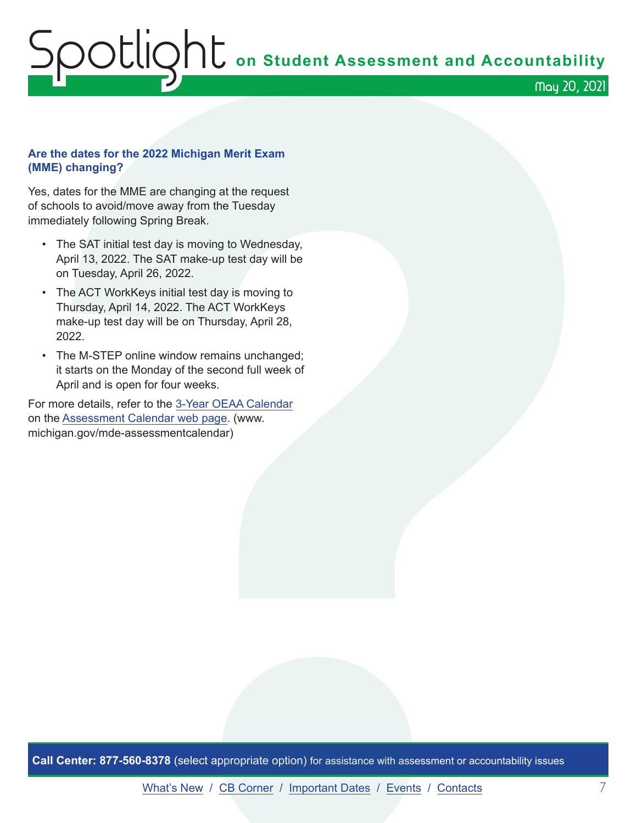### ${\sf SOL}$  on Student Assessment and Accountability May 20, 2021

### **Are the dates for the 2022 Michigan Merit Exam (MME) changing?**

Yes, dates for the MME are changing at the request of schools to avoid/move away from the Tuesday immediately following Spring Break.

- The SAT initial test day is moving to Wednesday, April 13, 2022. The SAT make-up test day will be on Tuesday, April 26, 2022.
- The ACT WorkKeys initial test day is moving to Thursday, April 14, 2022. The ACT WorkKeys make-up test day will be on Thursday, April 28, 2022.
- The M-STEP online window remains unchanged; it starts on the Monday of the second full week of April and is open for four weeks.

For more details, refer to the [3-Year OEAA Calendar](https://www.michigan.gov/documents/mde/3-Year_OEAA_Assessment_Calendar_719847_7.pdf) on the [Assessment Calendar web page](https://www.michigan.gov/mde-assessmentcalendar). (www. michigan.gov/mde-assessmentcalendar)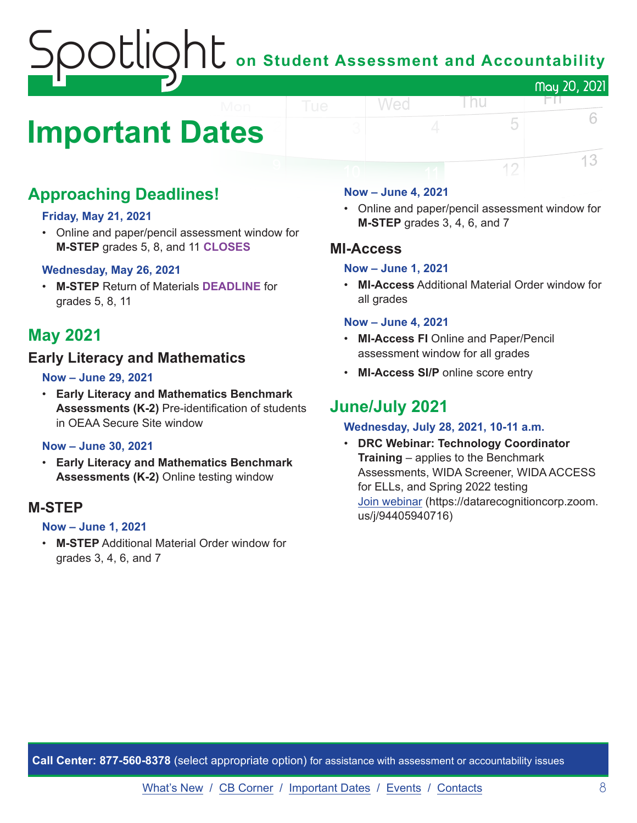### on Student Assessment and Accountability May 20, 2021

### <span id="page-7-0"></span>**Important Dates**

### **Approaching Deadlines!**

### **Friday, May 21, 2021**

• Online and paper/pencil assessment window for **M-STEP** grades 5, 8, and 11 **CLOSES**

### **Wednesday, May 26, 2021**

• **M-STEP** Return of Materials **DEADLINE** for grades 5, 8, 11

### **May 2021**

### **Early Literacy and Mathematics**

### **Now – June 29, 2021**

• **Early Literacy and Mathematics Benchmark Assessments (K-2)** Pre-identification of students in OEAA Secure Site window

### **Now – June 30, 2021**

• **Early Literacy and Mathematics Benchmark Assessments (K-2)** Online testing window

### **M-STEP**

### **Now – June 1, 2021**

• **M-STEP** Additional Material Order window for grades 3, 4, 6, and 7

#### **Now – June 4, 2021**

Wed

• Online and paper/pencil assessment window for **M-STEP** grades 3, 4, 6, and 7

l nu

FП

5

12

6

13

### **MI-Access**

### **Now – June 1, 2021**

• **MI-Access** Additional Material Order window for all grades

#### **Now – June 4, 2021**

- **MI-Access FI** Online and Paper/Pencil assessment window for all grades
- **MI-Access SI/P** online score entry

### **June/July 2021**

### **Wednesday, July 28, 2021, 10-11 a.m.**

• **DRC Webinar: Technology Coordinator Training** – applies to the Benchmark Assessments, WIDA Screener, WIDA ACCESS for ELLs, and Spring 2022 testing [Join webinar](https://datarecognitioncorp.zoom.us/j/94405940716) (https://datarecognitioncorp.zoom. us/j/94405940716)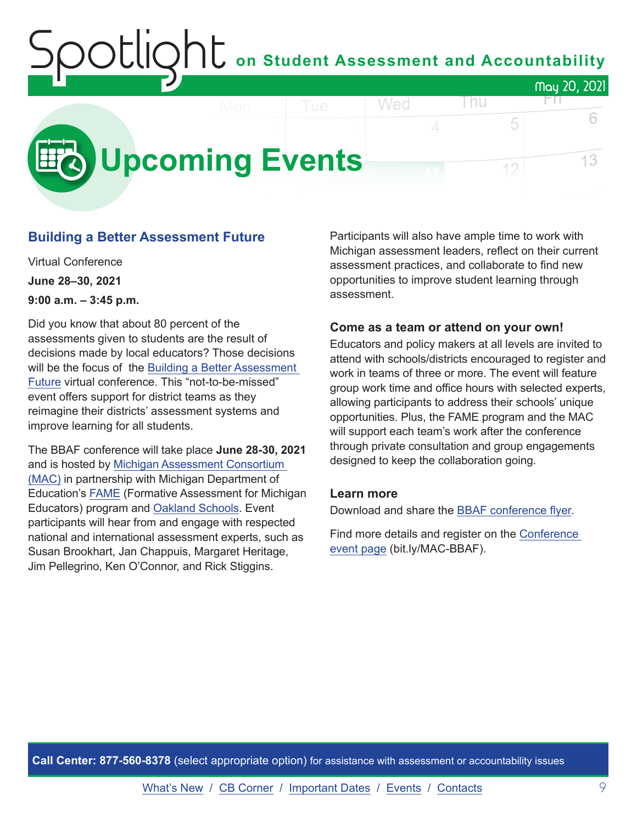### on Student Assessment and Accountability May 20, 2021 Wed l nu FП.

<span id="page-8-0"></span>

### **Building a Better Assessment Future**

Virtual Conference **June 28–30, 2021 9:00 a.m. – 3:45 p.m.**

Did you know that about 80 percent of the assessments given to students are the result of decisions made by local educators? Those decisions will be the focus of the [Building a Better Assessment](https://www.michiganassessmentconsortium.org/event/building-a-better-assessment-future/)  [Future](https://www.michiganassessmentconsortium.org/event/building-a-better-assessment-future/) virtual conference. This "not-to-be-missed" event offers support for district teams as they reimagine their districts' assessment systems and improve learning for all students.

The BBAF conference will take place **June 28-30, 2021** and is hosted by [Michigan Assessment Consortium](http://www.michiganassessmentconsortium.org/)  [\(MAC\)](http://www.michiganassessmentconsortium.org/) in partnership with Michigan Department of Education's [FAME](http://www.famemichigan.org/) (Formative Assessment for Michigan Educators) program and [Oakland Schools.](https://www.oakland.k12.mi.us/) Event participants will hear from and engage with respected national and international assessment experts, such as Susan Brookhart, Jan Chappuis, Margaret Heritage, Jim Pellegrino, Ken O'Connor, and Rick Stiggins.

Participants will also have ample time to work with Michigan assessment leaders, reflect on their current assessment practices, and collaborate to find new opportunities to improve student learning through assessment.

5

12

### **Come as a team or attend on your own!**

Educators and policy makers at all levels are invited to attend with schools/districts encouraged to register and work in teams of three or more. The event will feature group work time and office hours with selected experts, allowing participants to address their schools' unique opportunities. Plus, the FAME program and the MAC will support each team's work after the conference through private consultation and group engagements designed to keep the collaboration going.

### **Learn more**

Download and share the [BBAF conference flyer.](https://www.michiganassessmentconsortium.org/wp-content/uploads/BBAF-Flyer-1.pdf)

Find more details and register on the [Conference](https://www.michiganassessmentconsortium.org/event/building-a-better-assessment-future/)  [event page](https://www.michiganassessmentconsortium.org/event/building-a-better-assessment-future/) (bit.ly/MAC-BBAF).

**Call Center: 877-560-8378** (select appropriate option) for assistance with assessment or accountability issues

6

13